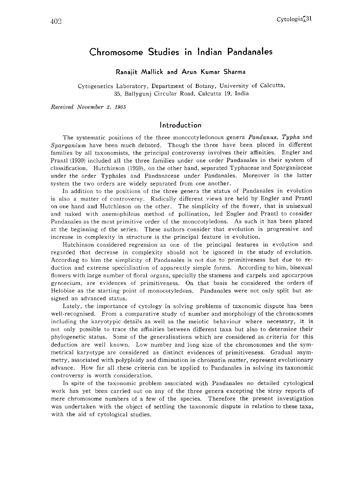# Chromosome Studies in Indian Pandanales

#### Ranajit Mallick and Arun Kumar Sharma

Cytogenetics Laboratory, Department of Botany, University of Calcutta, 35, Ballygunj Circular Road, Calcutta 19, India

Received November 2, 1965

### Introduction

The systematic positions of the three monocotyledonous genera *Pandanus*, Typha and Sparganium have been much debated. Though the three have been placed in different families by all taxonomists, the principal controversy involves their affinities. Engler and Prantl (1930) included all the three families under one order Pandanales in their system of classification. Hutchinson (1959), on the other hand, separated Typhaceae and Sparganiaceae under the order Typhales and Pandanaceae under Pandanales. Moreover in the latter system the two orders are widely separated from one another.

In addition to the positions of the three genera the status of Pandanales in evolution is also a matter of controversy. Radically different views are held by Engler and Prantl on one hand and Hutchinson on the other. The simplicity of the flower, that is unisexual and naked with anemophilous method of pollination, led Engler and Prantl to consider Pandanales as the most primitive order of the monocotyledons. As such it has been placed at the beginning of the series. These authors consider that evolution is progressive and increase in complexity in structure is the principal feature in evolution.

Hutchinson considered regression as one of the principal features in evolution and regarded that decrease in complexity should not be ignored in the study of evolution. According to him the simplicity of Pandanales is not due to primitiveness but due to re duction and extreme specialisation of apparently simple forms. According to him, bisexual flowers with large number of floral organs, specially the stamens and carpels and apocarpous gynoecium, are evidences of primitiveness. On that basis he considered the orders of Helobiae as the starting point of monocotyledons. Pandanales were not only split but as signed an advanced status.

Lately, the importance of cytology in solving problems of taxonomic dispute has been well-recognised. From a comparative study of number and morphology of the chromosomes including the karyotypic details as well as the meiotic behaviour where necessary, it is not only possible to trace the affinities between different taxa but also to determine their phylogenetic status. Some of the generalisations which are considered as criteria for this deduction are well known. Low number and long size of the chromosomes and the sym metrical karyotype are considered as distinct evidences of primitiveness. Gradual asym metry, associated with polyploidy and diminution in chromatin matter, represent evolutionary advance. How far all these criteria can be applied to Pandanales in solving its taxonomic controversy is worth consideration.

In spite of the taxonomic problem associated with Pandanales no detailed cytological work has yet been carried out on any of the three genera excepting the stray reports of mere chromosome numbers of a few of the species. Therefore the present investigation was undertaken with the object of settling the taxonomic dispute in relation to these taxa, with the aid of cytological studies.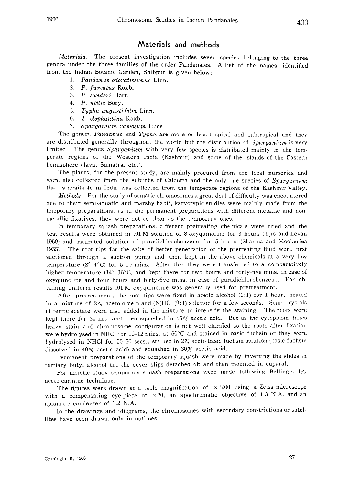### Materials and methods

Materials: The present investigation includes seven species belonging to the three genera under the three families of the order Pandanales. A list of the names, identified from the Indian Botanic Garden, Shibpur is given below:

- 1. Pandanus odoratissimus Linn.
- 2. P. furcatus Roxb.
- 3. P. sanderi Hort.
- 4. P. utilis Bory.
- 5. Typha angustifolia Linn.
- 6. T. elephantina Roxb.
- 7. Sparganium ramosum Huds.

The genera Pandanus and Typha are more or less tropical and subtropical and they are distributed generally throughout the world but the distribution of Sparganium is very limited. The genus Sparganium with very few species is distributed mainly in the temperate regions of the Western India (Kashmir) and some of the islands of the Eastern hemisphere (Java, Sumatra, etc.).

The plants, for the present study, are mainly procured from the local nurseries and were also collected from the suburbs of Calcutta and the only one species of Sparganium that is available in India was collected from the temperate regions of the Kashmir Valley.

Methods: For the study of somatic chromosomes a great deal of difficulty was encountered due to their semi-aquatic and marshy habit, karyotypic studies were mainly made from the temporary preparations, as in the permanent preparations with different metallic and non metallic fixatives, they were not as clear as the temporary ones.

In temporary squash preparations, different pretreating chemicals were tried and the best results were obtained in .01 M solution of 8-oxyquinoline for 3 hours (Tjio and Levan 1950) and saturated solution of paradichlorobenzene for 5 hours (Sharma and Mookerjea 1955). The root tips for the sake of better penetration of the pretreating fluid were first suctioned through a suction pump and then kept in the above chemicals at a very low temperature  $(2^{\circ}-4^{\circ}C)$  for 5-10 mins. After that they were transferred to a comparatively higher temperature  $(14^{\circ}-16^{\circ}C)$  and kept there for two hours and forty-five mins. in case of oxyquinoline and four hours and forty-five mins. in case of paradichlorobenzene. For ob taining uniform results .01 M oxyquinoline was generally used for pretreatment.

After pretreatment, the root tips were fixed in acetic alcohol (1:1) for 1 hour, heated in a mixture of  $2\%$  aceto-orcein and (N)HCl (9:1) solution for a few seconds. Some crystals of ferric acetate were also added in the mixture to intensify the staining. The roots were kept there for 24 hrs. and then squashed in 45% acetic acid. But as the cytoplasm takes heavy stain and chromosome configuration is not well clarified so the roots after fixation were hydrolysed in NHCl for 10-12 mins. at  $60^{\circ}$ C and stained in basic fuchsin or they were hydrolysed in NHCl for 30-60 sees., stained in 2% aceto basic fuchsin solution (basic fuchsin dissolved in 40% acetic acid) and squashed in 30% acetic acid.

Permanent preparations of the temporary squash were made by inverting the slides in tertiary butyl alcohol till the cover slips detached off and then mounted in euparal.

For meiotic study temporary squash preparations were made following Belling's 1% aceto-carmine technique.

The figures were drawn at a table magnification of  $\times 2900$  using a Zeiss microscope with a compensating eye-piece of  $\times 20$ , an apochromatic objective of 1.3 N.A. and an aplanatic condenser of 1.2 N.A.

In the drawings and idiograms, the chromosomes with secondary constrictions or satel lites have been drawn only in outlines.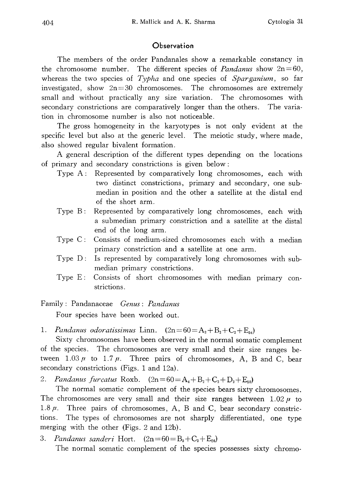## **Observation**

The members of the order Pandanales show a remarkable constancy in the chromosome number. The different species of *Pandanus* show  $2n=60$ , whereas the two species of  $Typha$  and one species of  $Sparganium$ , so far investigated, show  $2n=30$  chromosomes. The chromosomes are extremely small and without practically any size variation. The chromosomes with secondary constrictions are comparatively longer than the others. The varia tion in chromosome number is also not noticeable.

The gross homogeneity in the karyotypes is not only evident at the specific level but also at the generic level. The meiotic study, where made, also showed regular bivalent formation.

A general description of the different types depending on the locations of primary and secondary constrictions is given below:

- Type A: Represented by comparatively long chromosomes, each with two distinct constrictions, primary and secondary, one sub median in position and the other a satellite at the distal end of the short arm.
- Type B: Represented by comparatively long chromosomes, each with a submedian primary constriction and a satellite at the distal end of the long arm.
- Type C: Consists of medium-sized chromosomes each with a median primary constriction and a satellite at one arm.
- Type D: Is represented by comparatively long chromosomes with submedian primary constrictions.
- Type E: Consists of short chromosomes with median primary con strictions.

Family: Pandanaceae Genus: Pandanus

Four species have been worked out.

1. Pandanus odoratissimus Linn.  $(2n=60=A_2+B_2+C_2+E_{54})$ 

Sixty chromosomes have been observed in the normal somatic complement of the species. The chromosomes are very small and their size ranges be tween  $1.03 \mu$  to  $1.7 \mu$ . Three pairs of chromosomes, A, B and C, bear secondary constrictions (Figs. 1 and 12a).

2. Pandanus furcatus Roxb.  $(2n=60=A_4+B_2+C_2+D_2+E_{50})$ 

The normal somatic complement of the species bears sixty chromosomes. The chromosomes are very small and their size ranges between  $1.02 \mu$  to 1.8 $\mu$ . Three pairs of chromosomes, A, B and C, bear secondary constrictions. The types of chromosomes are not sharply differentiated, one type merging with the other (Figs. 2 and 12b).

3. Pandanus sanderi Hort.  $(2n=60=B_2+C_2+E_{50})$ 

The normal somatic complement of the species possesses sixty chromo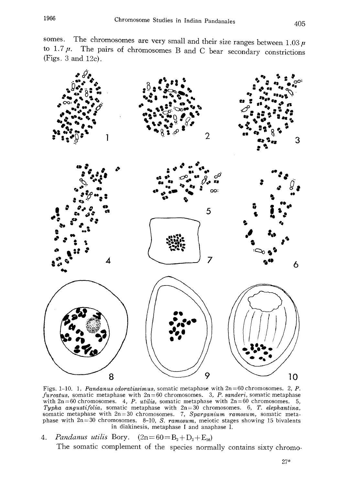somes. The chromosomes are very small and their size ranges between  $1.03$ to 1.7 $\mu$ . The pairs of chromosomes B and C bear secondary constrict (Figs. 3 and 12c).



Figs. 1-10. 1, Pandanus odoratissimus, somatic metaphase with 2n=60 chromosomes. 2, P. furcatus, somatic metaphase with  $2n=60$  chromosomes. 3, P. sanderi, somatic metaphase with  $2n=60$  chromosomes. 4, P. utilis, somatic metaphase with  $2n=60$  chromosomes. 5, Typha angustifolia, somatic metaphase with  $2n=30$  chromosomes. 6, T. elephantin somatic metaphase with  $2n=30$  chromosomes. 7, Sparganium ramosum, somatic met phase with  $2n=30$  chromosomes. 8-10, S. ramosum, meiotic stages showing 15 bivalents in diakinesis, metaphase I and anaphase I.

4. Pandanus utilis Bory.  $(2n=60=R_2+D_2+E_{56})$ 

The somatic complement of the species normally contains sixty chromo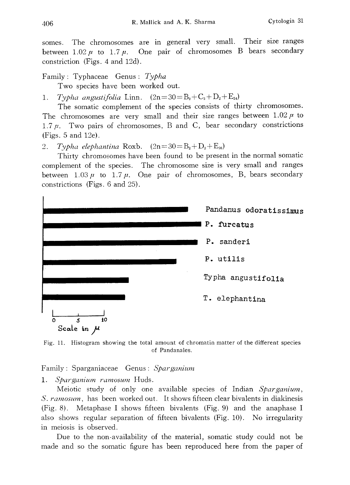somes. The chromosomes are in general very small. Their size ranges between  $1.02 \mu$  to  $1.7 \mu$ . One pair of chromosomes B bears secondary constriction (Figs. 4 and 12d).

Family: Typhaceae Genus: Typha Two species have been worked out.

1. Typha angustifolia Linn.  $(2n=30=B_2+C_2+D_2+E_2)$ 

The somatic complement of the species consists of thirty chromosomes. The chromosomes are very small and their size ranges between  $1.02 \mu$  to 1.7 $\mu$ . Two pairs of chromosomes, B and C, bear secondary constrictions (Figs. 5 and 12e).

2. Typha elephantina Roxb.  $(2n=30=B_2+D_2+E_{26})$ 

Thirty chromosomes have been found to be present in the normal somatic complement of the species. The chromosome size is very small and ranges between  $1.03 \mu$  to  $1.7 \mu$ . One pair of chromosomes, B, bears secondary constrictions (Figs. 6 and 25).



Fig. 11. Histogram showing the total amount of chromatin matter of the different species of Pandanales.

Family: Sparganiaceae Genus: Sparganium

1. Sparganium ramosum Huds.

Meiotic study of only one available species of Indian Sparganium, S. ramosum, has been worked out. It shows fifteen clear bivalents in diakinesis (Fig. 8). Metaphase I shows fifteen bivalents (Fig. 9) and the anaphase I also shows regular separation of fifteen bivalents (Fig. 10). No irregularity in meiosis is observed.

Due to the non-availability of the material, somatic study could not be made and so the somatic figure has been reproduced here from the paper of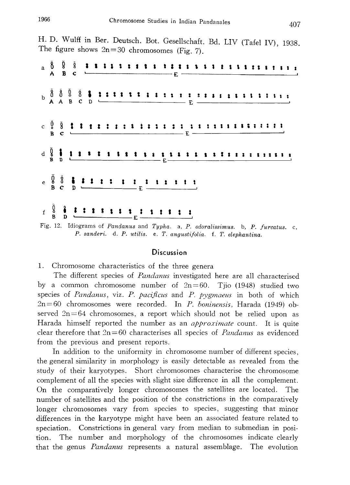H. D. Wulff in Ber. Deutsch. Bot. Gesellschaft. Bd. LIV (Tafel IV), 1938. The figure shows  $2n=30$  chromosomes (Fig. 7).

| $A \stackrel{5}{\cancel{5}} \stackrel{6}{\cancel{5}} \stackrel{5}{\cancel{5}} \stackrel{5}{\cancel{5}}$                                                                                                                                                                   |  |  |  |  |  |  |  |  |  |  |  |  |  |  |  |  |  |
|---------------------------------------------------------------------------------------------------------------------------------------------------------------------------------------------------------------------------------------------------------------------------|--|--|--|--|--|--|--|--|--|--|--|--|--|--|--|--|--|
|                                                                                                                                                                                                                                                                           |  |  |  |  |  |  |  |  |  |  |  |  |  |  |  |  |  |
|                                                                                                                                                                                                                                                                           |  |  |  |  |  |  |  |  |  |  |  |  |  |  |  |  |  |
|                                                                                                                                                                                                                                                                           |  |  |  |  |  |  |  |  |  |  |  |  |  |  |  |  |  |
|                                                                                                                                                                                                                                                                           |  |  |  |  |  |  |  |  |  |  |  |  |  |  |  |  |  |
| $f \stackrel{0}{\to} \frac{3}{B}$ $\frac{1}{D}$ $\frac{1}{D}$ $\frac{1}{D}$ $\frac{1}{D}$ $\frac{1}{D}$ $\frac{1}{D}$ $\frac{1}{D}$ $\frac{1}{D}$ $\frac{1}{D}$ $\frac{1}{D}$ $\frac{1}{D}$ $\frac{1}{D}$ $\frac{1}{D}$ $\frac{1}{D}$<br><u>n'iotr' contra del distri</u> |  |  |  |  |  |  |  |  |  |  |  |  |  |  |  |  |  |

Fig. 12. Idiograms of Pandanus and Typha. a, P. odoralissimus. b, P. furcatus. c, P. sanderi. d. P. utilis. e. T. angustifolia. f. T. elephantina.

#### **Discussion**

1. Chromosome characteristics of the three genera

The different species of *Pandanus* investigated here are all characterised by a common chromosome number of  $2n=60$ . Tjio (1948) studied two species of Pandanus, viz. P. pacificus and P. pygmaeus in both of which  $2n=60$  chromosomes were recorded. In P. boninensis, Harada (1949) observed  $2n=64$  chromosomes, a report which should not be relied upon as Harada himself reported the number as an *approximate* count. It is quite clear therefore that  $2n=60$  characterises all species of *Pandanus* as evidenced from the previous and present reports.

In addition to the uniformity in chromosome number of different species, the general similarity in morphology is easily detectable as revealed from the study of their karyotypes. Short chromosomes characterise the chromosome complement of all the species with slight size difference in all the complement. On the comparatively longer chromosomes the satellites are located. The number of satellites and the position of the constrictions in the comparatively longer chromosomes vary from species to species, suggesting that minor differences in the karyotype might have been an associated feature related to speciation. Constrictions in general vary from median to submedian in posi tion. The number and morphology of the chromosomes indicate clearly that the genus *Pandanus* represents a natural assemblage. The evolution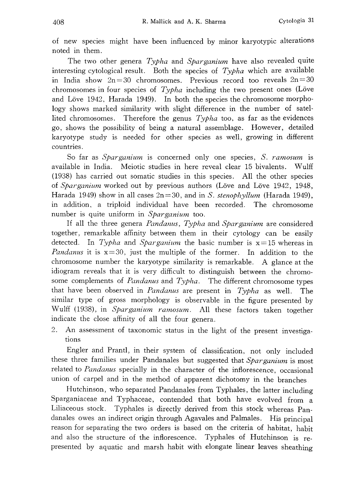of new species might have been influenced by minor karyotypic alterations noted in them.

The two other genera Typha and Sparganium have also revealed quite interesting cytological result. Both the species of  $Typha$  which are available in India show  $2n=30$  chromosomes. Previous record too reveals  $2n=30$ chromosomes in four species of  $Typha$  including the two present ones (Löve and Löve 1942, Harada 1949). In both the species the chromosome morphology shows marked similarity with slight difference in the number of satel lited chromosomes. Therefore the genus  $Typha$  too, as far as the evidences go, shows the possibility of being a natural assemblage. However, detailed karyotype study is needed for other species as well, growing in different countries.

So far as Sparganium is concerned only one species, S. ramosum is available in India. Meiotic studies in here reveal clear 15 bivalents. Wulff (1938) has carried out somatic studies in this species. All the other species of *Sparganium* worked out by previous authors (Löve and Löve 1942, 1948, Harada 1949) show in all cases  $2n=30$ , and in S. stenophyllum (Harada 1949), in addition, a triploid individual have been recorded. The chromosome number is quite uniform in Sparganium too.

If all the three genera Pandanus, Typha and Sparganium are considered together, remarkable affinity between them in their cytology can be easily detected. In Typha and Sparganium the basic number is  $x=15$  whereas in *Pandanus* it is  $x=30$ , just the multiple of the former. In addition to the chromosome number the karyotype similarity is remarkable. A glance at the idiogram reveals that it is very difficult to distinguish between the chromo some complements of *Pandanus* and  $Typha$ . The different chromosome types that have been observed in *Pandanus* are present in *Typha* as well. The similar type of gross morphology is observable in the figure presented by Wulff (1938), in Sparganium ramosum. All these factors taken together indicate the close affinity of all the four genera.

2. An assessment of taxonomic status in the light of the present investiga tions

Engler and Prantl, in their system of classification, not only included these three families under Pandanales but suggested that Sparganium is most related to Pandanus specially in the character of the inflorescence, occasiona union of carpel and in the method of apparent dichotomy in the branches

Hutchinson, who separated Pandanales from Typhales, the latter including Sparganiaceae and Typhaceae, contended that both have evolved from a Liliaceous stock. Typhales is directly derived from this stock whereas Pan danales owes an indirect origin through Agavales and Palmales. His principal reason for separating the two orders is based on the criteria of habitat, habi and also the structure of the inflorescence. Typhales of Hutchinson is represented by aquatic and marsh habit with elongate linear leaves sheathing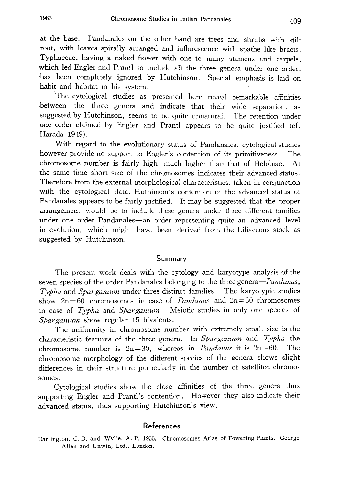at the base. Pandanales on the other hand are trees and shrubs with stilt root, with leaves spirally arranged and inflorescence with spathe like bracts . Typhaceae, having a naked flower with one to many stamens and carpels , which led Engler and Prantl to include all the three genera under one order , has been completely ignored by Hutchinson. Special emphasis is laid on habit and habitat in his system.

The cytological studies as presented here reveal remarkable affinities between the three genera and indicate that their wide separation, as suggested by Hutchinson, seems to be quite unnatural. The retention under one order claimed by Engler and Prantl appears to be quite justified (cf. Harada 1949).

With regard to the evolutionary status of Pandanales , cytological studies however provide no support to Engler's contention of its primitiveness. The chromosome number is fairly high, much higher than that of Helobiae. At the same time short size of the chromosomes indicates their advanced status. Therefore from the external morphological characteristics, taken in conjunction with the cytological data, Huthinson's contention of the advanced status of Pandanales appears to be fairly justified. It may be suggested that the proper arrangement would be to include these genera under three different families under one order Pandanales-an order representing quite an advanced level in evolution, which might have been derived from the Liliaceous stock as suggested by Hutchinson.

### Summary

The present work deals with the cytology and karyotype analysis of the seven species of the order Pandanales belonging to the three genera-*Pandanus*, Typha and Sparganium under three distinct families. The karyotypic studies show  $2n=60$  chromosomes in case of *Pandanus* and  $2n=30$  chromosomes in case of Typha and Sparganium. Meiotic studies in only one species of Sparganium show regular 15 bivalents.

The uniformity in chromosome number with extremely small size is the characteristic features of the three genera. In Sparganium and Typha the chromosome number is  $2n=30$ , whereas in *Pandanus* it is  $2n=60$ . The chromosome morphology of the different species of the genera shows slight differences in their structure particularly in the number of satellited chromo somes.

Cytological studies show the close affinities of the three genera thus supporting Engler and Prantl's contention. However they also indicate their advanced status, thus supporting Hutchinson's view.

### References

Darlington, C. D. and Wylie, A. P. 1955. Chromosomes Atlas of Fowering Plants. George Allen and Unwin, Ltd., London.